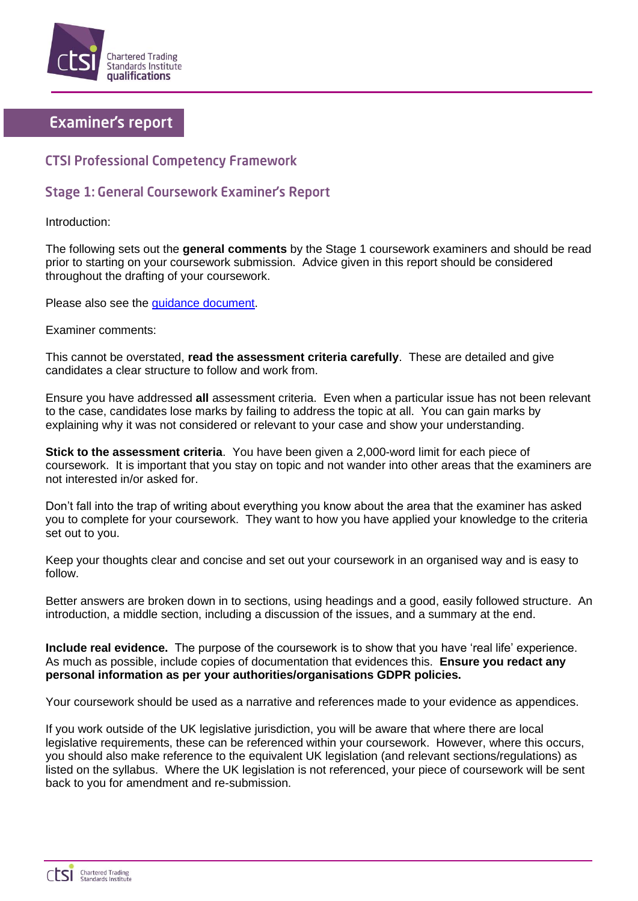

## **Examiner's report**

## **CTSI Professional Competency Framework**

## **Stage 1: General Coursework Examiner's Report**

Introduction:

The following sets out the **general comments** by the Stage 1 coursework examiners and should be read prior to starting on your coursework submission. Advice given in this report should be considered throughout the drafting of your coursework.

Please also see the [guidance document.](https://www.tradingstandards.uk/media/documents/practitioners/cpcf-current-folder/stage-1/cpcf-stage-1-coursework-guidance-for-candidates-updated-december-2020.pdf)

Examiner comments:

This cannot be overstated, **read the assessment criteria carefully**. These are detailed and give candidates a clear structure to follow and work from.

Ensure you have addressed **all** assessment criteria. Even when a particular issue has not been relevant to the case, candidates lose marks by failing to address the topic at all. You can gain marks by explaining why it was not considered or relevant to your case and show your understanding.

**Stick to the assessment criteria**. You have been given a 2,000-word limit for each piece of coursework. It is important that you stay on topic and not wander into other areas that the examiners are not interested in/or asked for.

Don't fall into the trap of writing about everything you know about the area that the examiner has asked you to complete for your coursework. They want to how you have applied your knowledge to the criteria set out to you.

Keep your thoughts clear and concise and set out your coursework in an organised way and is easy to follow.

Better answers are broken down in to sections, using headings and a good, easily followed structure. An introduction, a middle section, including a discussion of the issues, and a summary at the end.

**Include real evidence.** The purpose of the coursework is to show that you have 'real life' experience. As much as possible, include copies of documentation that evidences this. **Ensure you redact any personal information as per your authorities/organisations GDPR policies.**

Your coursework should be used as a narrative and references made to your evidence as appendices.

If you work outside of the UK legislative jurisdiction, you will be aware that where there are local legislative requirements, these can be referenced within your coursework. However, where this occurs, you should also make reference to the equivalent UK legislation (and relevant sections/regulations) as listed on the syllabus. Where the UK legislation is not referenced, your piece of coursework will be sent back to you for amendment and re-submission.